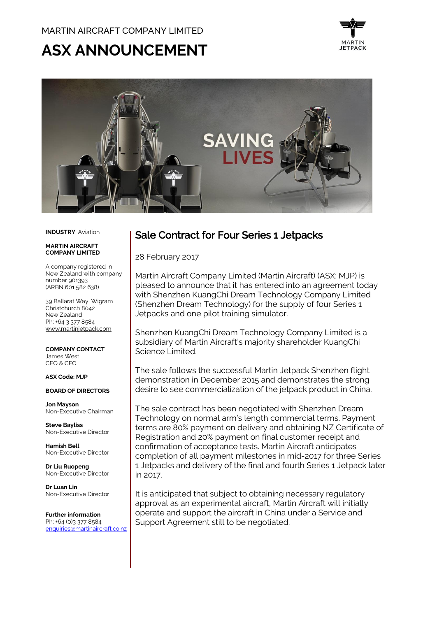# ASX ANNOUNCEMENT





#### **INDUSTRY**: Aviation

#### **MADTIN AIDCDAFT COMPANY LIMITED**

A company registered in New Zealand with company number 901393 (ARBN 601 582 638)

39 Ballarat Way, Wigram Christchurch 8042 New Zealand Ph: +64 3 377 8584 [www.martinjetpack.com](http://www.martinjetpack.com/)

**COMPANY CONTACT** James West CEO & CFO

#### **ASX Code: MJP**

#### **BOARD OF DIRECTORS**

**Jon Mayson**  Non-Executive Chairman

**Steve Bayliss** Non-Executive Director

**Hamish Bell** Non-Executive Director

**Dr Liu Ruopeng**  Non-Executive Director

**Dr Luan Lin** Non-Executive Director

**Further information** Ph: +64 (0)3 377 8584 [enquiries@martinaircraft.co.nz](mailto:enquiries@martinaircraft.co.nz)

## Sale Contract for Four Series 1 Jetpacks

28 February 2017

Martin Aircraft Company Limited (Martin Aircraft) (ASX: MJP) is pleased to announce that it has entered into an agreement today with Shenzhen KuangChi Dream Technology Company Limited (Shenzhen Dream Technology) for the supply of four Series 1 Jetpacks and one pilot training simulator.

Shenzhen KuangChi Dream Technology Company Limited is a subsidiary of Martin Aircraft's majority shareholder KuangChi Science Limited.

The sale follows the successful Martin Jetpack Shenzhen flight demonstration in December 2015 and demonstrates the strong desire to see commercialization of the jetpack product in China.

The sale contract has been negotiated with Shenzhen Dream Technology on normal arm's length commercial terms. Payment terms are 80% payment on delivery and obtaining NZ Certificate of Registration and 20% payment on final customer receipt and confirmation of acceptance tests. Martin Aircraft anticipates completion of all payment milestones in mid-2017 for three Series 1 Jetpacks and delivery of the final and fourth Series 1 Jetpack later in 2017.

It is anticipated that subject to obtaining necessary regulatory approval as an experimental aircraft, Martin Aircraft will initially operate and support the aircraft in China under a Service and Support Agreement still to be negotiated.